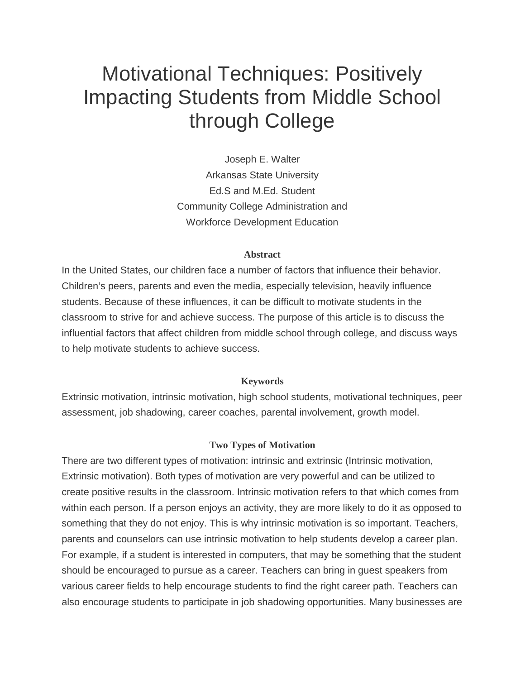# Motivational Techniques: Positively Impacting Students from Middle School through College

Joseph E. Walter Arkansas State University Ed.S and M.Ed. Student Community College Administration and Workforce Development Education

# **Abstract**

In the United States, our children face a number of factors that influence their behavior. Children's peers, parents and even the media, especially television, heavily influence students. Because of these influences, it can be difficult to motivate students in the classroom to strive for and achieve success. The purpose of this article is to discuss the influential factors that affect children from middle school through college, and discuss ways to help motivate students to achieve success.

#### **Keywords**

Extrinsic motivation, intrinsic motivation, high school students, motivational techniques, peer assessment, job shadowing, career coaches, parental involvement, growth model.

#### **Two Types of Motivation**

There are two different types of motivation: intrinsic and extrinsic (Intrinsic motivation, Extrinsic motivation). Both types of motivation are very powerful and can be utilized to create positive results in the classroom. Intrinsic motivation refers to that which comes from within each person. If a person enjoys an activity, they are more likely to do it as opposed to something that they do not enjoy. This is why intrinsic motivation is so important. Teachers, parents and counselors can use intrinsic motivation to help students develop a career plan. For example, if a student is interested in computers, that may be something that the student should be encouraged to pursue as a career. Teachers can bring in guest speakers from various career fields to help encourage students to find the right career path. Teachers can also encourage students to participate in job shadowing opportunities. Many businesses are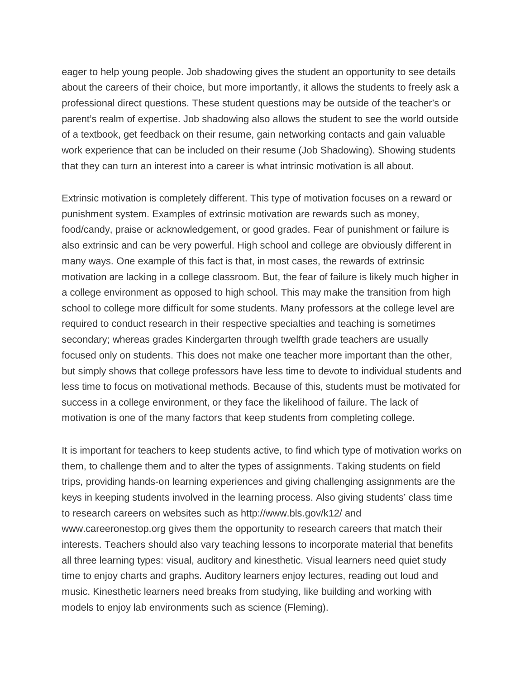eager to help young people. Job shadowing gives the student an opportunity to see details about the careers of their choice, but more importantly, it allows the students to freely ask a professional direct questions. These student questions may be outside of the teacher's or parent's realm of expertise. Job shadowing also allows the student to see the world outside of a textbook, get feedback on their resume, gain networking contacts and gain valuable work experience that can be included on their resume (Job Shadowing). Showing students that they can turn an interest into a career is what intrinsic motivation is all about.

Extrinsic motivation is completely different. This type of motivation focuses on a reward or punishment system. Examples of extrinsic motivation are rewards such as money, food/candy, praise or acknowledgement, or good grades. Fear of punishment or failure is also extrinsic and can be very powerful. High school and college are obviously different in many ways. One example of this fact is that, in most cases, the rewards of extrinsic motivation are lacking in a college classroom. But, the fear of failure is likely much higher in a college environment as opposed to high school. This may make the transition from high school to college more difficult for some students. Many professors at the college level are required to conduct research in their respective specialties and teaching is sometimes secondary; whereas grades Kindergarten through twelfth grade teachers are usually focused only on students. This does not make one teacher more important than the other, but simply shows that college professors have less time to devote to individual students and less time to focus on motivational methods. Because of this, students must be motivated for success in a college environment, or they face the likelihood of failure. The lack of motivation is one of the many factors that keep students from completing college.

It is important for teachers to keep students active, to find which type of motivation works on them, to challenge them and to alter the types of assignments. Taking students on field trips, providing hands-on learning experiences and giving challenging assignments are the keys in keeping students involved in the learning process. Also giving students' class time to research careers on websites such as http://www.bls.gov/k12/ and www.careeronestop.org gives them the opportunity to research careers that match their interests. Teachers should also vary teaching lessons to incorporate material that benefits all three learning types: visual, auditory and kinesthetic. Visual learners need quiet study time to enjoy charts and graphs. Auditory learners enjoy lectures, reading out loud and music. Kinesthetic learners need breaks from studying, like building and working with models to enjoy lab environments such as science (Fleming).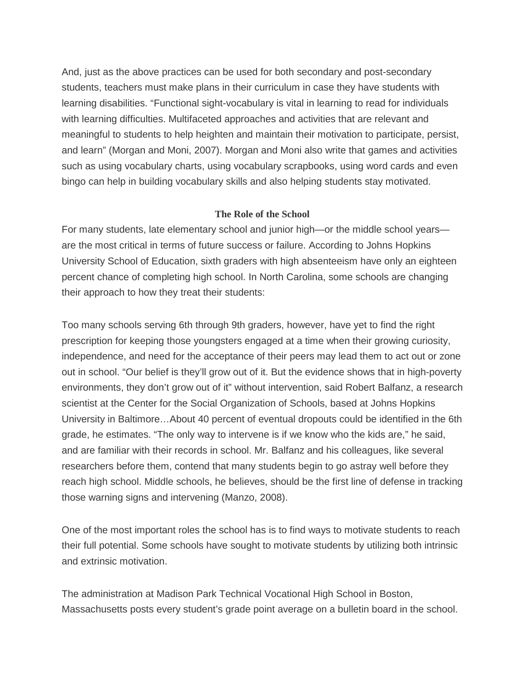And, just as the above practices can be used for both secondary and post-secondary students, teachers must make plans in their curriculum in case they have students with learning disabilities. "Functional sight-vocabulary is vital in learning to read for individuals with learning difficulties. Multifaceted approaches and activities that are relevant and meaningful to students to help heighten and maintain their motivation to participate, persist, and learn" (Morgan and Moni, 2007). Morgan and Moni also write that games and activities such as using vocabulary charts, using vocabulary scrapbooks, using word cards and even bingo can help in building vocabulary skills and also helping students stay motivated.

# **The Role of the School**

For many students, late elementary school and junior high—or the middle school years are the most critical in terms of future success or failure. According to Johns Hopkins University School of Education, sixth graders with high absenteeism have only an eighteen percent chance of completing high school. In North Carolina, some schools are changing their approach to how they treat their students:

Too many schools serving 6th through 9th graders, however, have yet to find the right prescription for keeping those youngsters engaged at a time when their growing curiosity, independence, and need for the acceptance of their peers may lead them to act out or zone out in school. "Our belief is they'll grow out of it. But the evidence shows that in high-poverty environments, they don't grow out of it" without intervention, said Robert Balfanz, a research scientist at the Center for the Social Organization of Schools, based at Johns Hopkins University in Baltimore…About 40 percent of eventual dropouts could be identified in the 6th grade, he estimates. "The only way to intervene is if we know who the kids are," he said, and are familiar with their records in school. Mr. Balfanz and his colleagues, like several researchers before them, contend that many students begin to go astray well before they reach high school. Middle schools, he believes, should be the first line of defense in tracking those warning signs and intervening (Manzo, 2008).

One of the most important roles the school has is to find ways to motivate students to reach their full potential. Some schools have sought to motivate students by utilizing both intrinsic and extrinsic motivation.

The administration at Madison Park Technical Vocational High School in Boston, Massachusetts posts every student's grade point average on a bulletin board in the school.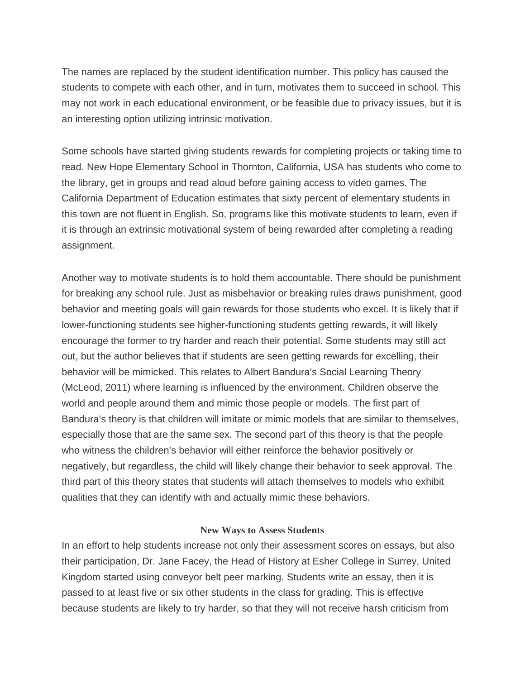The names are replaced by the student identification number. This policy has caused the students to compete with each other, and in turn, motivates them to succeed in school. This may not work in each educational environment, or be feasible due to privacy issues, but it is an interesting option utilizing intrinsic motivation.

Some schools have started giving students rewards for completing projects or taking time to read. New Hope Elementary School in Thornton, California, USA has students who come to the library, get in groups and read aloud before gaining access to video games. The California Department of Education estimates that sixty percent of elementary students in this town are not fluent in English. So, programs like this motivate students to learn, even if it is through an extrinsic motivational system of being rewarded after completing a reading assignment.

Another way to motivate students is to hold them accountable. There should be punishment for breaking any school rule. Just as misbehavior or breaking rules draws punishment, good behavior and meeting goals will gain rewards for those students who excel. It is likely that if lower-functioning students see higher-functioning students getting rewards, it will likely encourage the former to try harder and reach their potential. Some students may still act out, but the author believes that if students are seen getting rewards for excelling, their behavior will be mimicked. This relates to Albert Bandura's Social Learning Theory (McLeod, 2011) where learning is influenced by the environment. Children observe the world and people around them and mimic those people or models. The first part of Bandura's theory is that children will imitate or mimic models that are similar to themselves, especially those that are the same sex. The second part of this theory is that the people who witness the children's behavior will either reinforce the behavior positively or negatively, but regardless, the child will likely change their behavior to seek approval. The third part of this theory states that students will attach themselves to models who exhibit qualities that they can identify with and actually mimic these behaviors.

#### **New Ways to Assess Students**

In an effort to help students increase not only their assessment scores on essays, but also their participation, Dr. Jane Facey, the Head of History at Esher College in Surrey, United Kingdom started using conveyor belt peer marking. Students write an essay, then it is passed to at least five or six other students in the class for grading. This is effective because students are likely to try harder, so that they will not receive harsh criticism from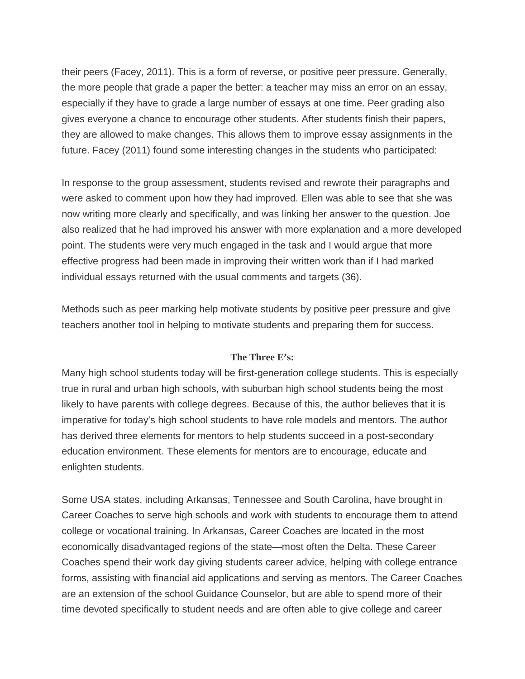their peers (Facey, 2011). This is a form of reverse, or positive peer pressure. Generally, the more people that grade a paper the better: a teacher may miss an error on an essay, especially if they have to grade a large number of essays at one time. Peer grading also gives everyone a chance to encourage other students. After students finish their papers, they are allowed to make changes. This allows them to improve essay assignments in the future. Facey (2011) found some interesting changes in the students who participated:

In response to the group assessment, students revised and rewrote their paragraphs and were asked to comment upon how they had improved. Ellen was able to see that she was now writing more clearly and specifically, and was linking her answer to the question. Joe also realized that he had improved his answer with more explanation and a more developed point. The students were very much engaged in the task and I would argue that more effective progress had been made in improving their written work than if I had marked individual essays returned with the usual comments and targets (36).

Methods such as peer marking help motivate students by positive peer pressure and give teachers another tool in helping to motivate students and preparing them for success.

#### **The Three E's:**

Many high school students today will be first-generation college students. This is especially true in rural and urban high schools, with suburban high school students being the most likely to have parents with college degrees. Because of this, the author believes that it is imperative for today's high school students to have role models and mentors. The author has derived three elements for mentors to help students succeed in a post-secondary education environment. These elements for mentors are to encourage, educate and enlighten students.

Some USA states, including Arkansas, Tennessee and South Carolina, have brought in Career Coaches to serve high schools and work with students to encourage them to attend college or vocational training. In Arkansas, Career Coaches are located in the most economically disadvantaged regions of the state—most often the Delta. These Career Coaches spend their work day giving students career advice, helping with college entrance forms, assisting with financial aid applications and serving as mentors. The Career Coaches are an extension of the school Guidance Counselor, but are able to spend more of their time devoted specifically to student needs and are often able to give college and career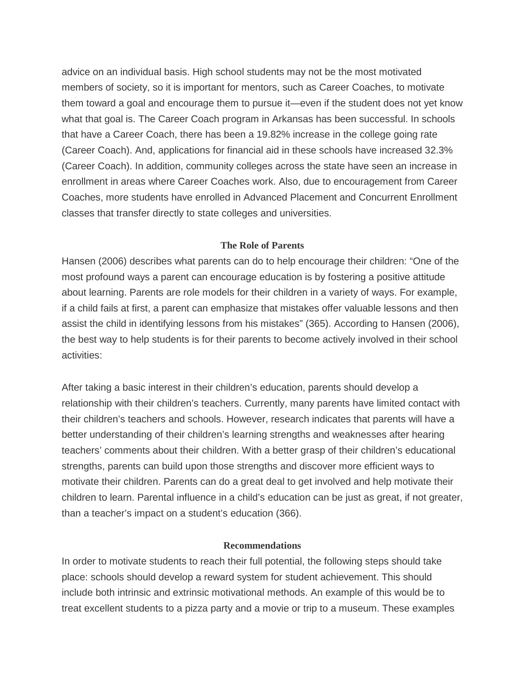advice on an individual basis. High school students may not be the most motivated members of society, so it is important for mentors, such as Career Coaches, to motivate them toward a goal and encourage them to pursue it—even if the student does not yet know what that goal is. The Career Coach program in Arkansas has been successful. In schools that have a Career Coach, there has been a 19.82% increase in the college going rate (Career Coach). And, applications for financial aid in these schools have increased 32.3% (Career Coach). In addition, community colleges across the state have seen an increase in enrollment in areas where Career Coaches work. Also, due to encouragement from Career Coaches, more students have enrolled in Advanced Placement and Concurrent Enrollment classes that transfer directly to state colleges and universities.

# **The Role of Parents**

Hansen (2006) describes what parents can do to help encourage their children: "One of the most profound ways a parent can encourage education is by fostering a positive attitude about learning. Parents are role models for their children in a variety of ways. For example, if a child fails at first, a parent can emphasize that mistakes offer valuable lessons and then assist the child in identifying lessons from his mistakes" (365). According to Hansen (2006), the best way to help students is for their parents to become actively involved in their school activities:

After taking a basic interest in their children's education, parents should develop a relationship with their children's teachers. Currently, many parents have limited contact with their children's teachers and schools. However, research indicates that parents will have a better understanding of their children's learning strengths and weaknesses after hearing teachers' comments about their children. With a better grasp of their children's educational strengths, parents can build upon those strengths and discover more efficient ways to motivate their children. Parents can do a great deal to get involved and help motivate their children to learn. Parental influence in a child's education can be just as great, if not greater, than a teacher's impact on a student's education (366).

#### **Recommendations**

In order to motivate students to reach their full potential, the following steps should take place: schools should develop a reward system for student achievement. This should include both intrinsic and extrinsic motivational methods. An example of this would be to treat excellent students to a pizza party and a movie or trip to a museum. These examples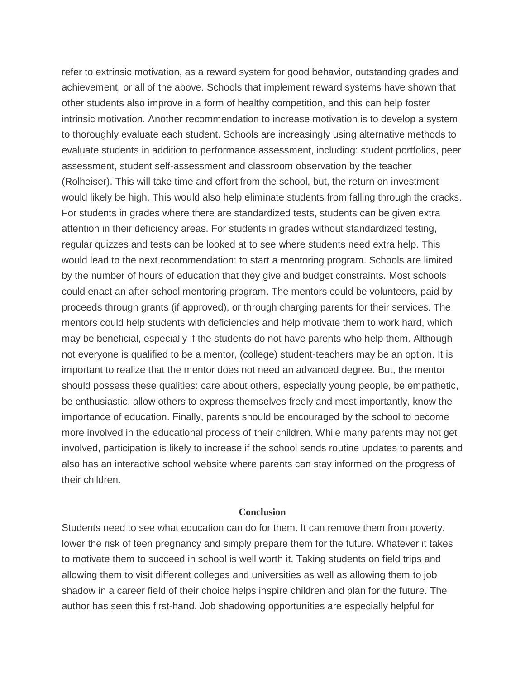refer to extrinsic motivation, as a reward system for good behavior, outstanding grades and achievement, or all of the above. Schools that implement reward systems have shown that other students also improve in a form of healthy competition, and this can help foster intrinsic motivation. Another recommendation to increase motivation is to develop a system to thoroughly evaluate each student. Schools are increasingly using alternative methods to evaluate students in addition to performance assessment, including: student portfolios, peer assessment, student self-assessment and classroom observation by the teacher (Rolheiser). This will take time and effort from the school, but, the return on investment would likely be high. This would also help eliminate students from falling through the cracks. For students in grades where there are standardized tests, students can be given extra attention in their deficiency areas. For students in grades without standardized testing, regular quizzes and tests can be looked at to see where students need extra help. This would lead to the next recommendation: to start a mentoring program. Schools are limited by the number of hours of education that they give and budget constraints. Most schools could enact an after-school mentoring program. The mentors could be volunteers, paid by proceeds through grants (if approved), or through charging parents for their services. The mentors could help students with deficiencies and help motivate them to work hard, which may be beneficial, especially if the students do not have parents who help them. Although not everyone is qualified to be a mentor, (college) student-teachers may be an option. It is important to realize that the mentor does not need an advanced degree. But, the mentor should possess these qualities: care about others, especially young people, be empathetic, be enthusiastic, allow others to express themselves freely and most importantly, know the importance of education. Finally, parents should be encouraged by the school to become more involved in the educational process of their children. While many parents may not get involved, participation is likely to increase if the school sends routine updates to parents and also has an interactive school website where parents can stay informed on the progress of their children.

#### **Conclusion**

Students need to see what education can do for them. It can remove them from poverty, lower the risk of teen pregnancy and simply prepare them for the future. Whatever it takes to motivate them to succeed in school is well worth it. Taking students on field trips and allowing them to visit different colleges and universities as well as allowing them to job shadow in a career field of their choice helps inspire children and plan for the future. The author has seen this first-hand. Job shadowing opportunities are especially helpful for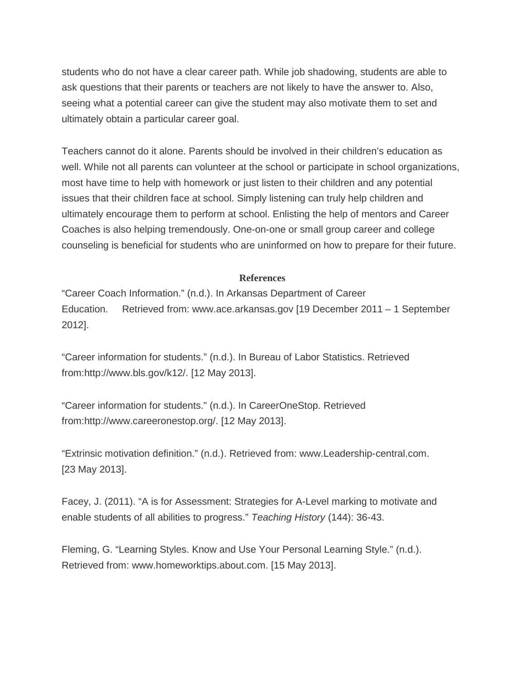students who do not have a clear career path. While job shadowing, students are able to ask questions that their parents or teachers are not likely to have the answer to. Also, seeing what a potential career can give the student may also motivate them to set and ultimately obtain a particular career goal.

Teachers cannot do it alone. Parents should be involved in their children's education as well. While not all parents can volunteer at the school or participate in school organizations, most have time to help with homework or just listen to their children and any potential issues that their children face at school. Simply listening can truly help children and ultimately encourage them to perform at school. Enlisting the help of mentors and Career Coaches is also helping tremendously. One-on-one or small group career and college counseling is beneficial for students who are uninformed on how to prepare for their future.

# **References**

"Career Coach Information." (n.d.). In Arkansas Department of Career Education. Retrieved from: www.ace.arkansas.gov [19 December 2011 – 1 September 2012].

"Career information for students." (n.d.). In Bureau of Labor Statistics. Retrieved from:http://www.bls.gov/k12/. [12 May 2013].

"Career information for students." (n.d.). In CareerOneStop. Retrieved from:http://www.careeronestop.org/. [12 May 2013].

"Extrinsic motivation definition." (n.d.). Retrieved from: www.Leadership-central.com. [23 May 2013].

Facey, J. (2011). "A is for Assessment: Strategies for A-Level marking to motivate and enable students of all abilities to progress." *Teaching History* (144): 36-43.

Fleming, G. "Learning Styles. Know and Use Your Personal Learning Style." (n.d.). Retrieved from: www.homeworktips.about.com. [15 May 2013].